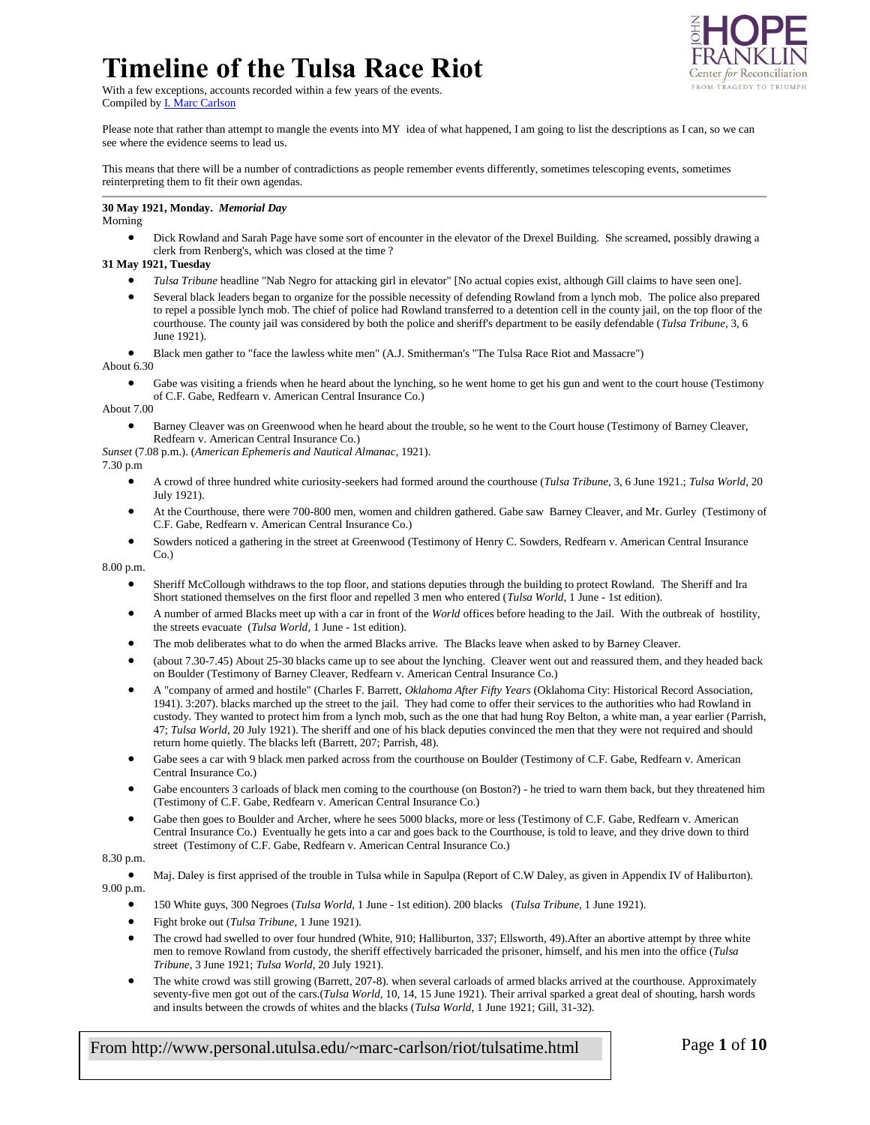### **Timeline of the Tulsa Race Riot** With a few exceptions, accounts recorded within a few years of the events.

Center for Reconciliation FROM TRAGEDY TO TRIUMPH

Compiled b[y I. Marc Carlson](mailto:marc-carlson@utulsa.edu)

Please note that rather than attempt to mangle the events into MY idea of what happened, I am going to list the descriptions as I can, so we can see where the evidence seems to lead us.

This means that there will be a number of contradictions as people remember events differently, sometimes telescoping events, sometimes reinterpreting them to fit their own agendas.

**30 May 1921, Monday.** *Memorial Day*

Morning

 Dick Rowland and Sarah Page have some sort of encounter in the elevator of the Drexel Building. She screamed, possibly drawing a clerk from Renberg's, which was closed at the time ?

#### **31 May 1921, Tuesday**

- *Tulsa Tribune* headline "Nab Negro for attacking girl in elevator" [No actual copies exist, although Gill claims to have seen one].
- Several black leaders began to organize for the possible necessity of defending Rowland from a lynch mob. The police also prepared to repel a possible lynch mob. The chief of police had Rowland transferred to a detention cell in the county jail, on the top floor of the courthouse. The county jail was considered by both the police and sheriff's department to be easily defendable (*Tulsa Tribune*, 3, 6 June 1921).

Black men gather to "face the lawless white men" (A.J. Smitherman's "The Tulsa Race Riot and Massacre")

#### About 6.30

 Gabe was visiting a friends when he heard about the lynching, so he went home to get his gun and went to the court house (Testimony of C.F. Gabe, Redfearn v. American Central Insurance Co.)

About 7.00

 Barney Cleaver was on Greenwood when he heard about the trouble, so he went to the Court house (Testimony of Barney Cleaver, Redfearn v. American Central Insurance Co.)

*Sunset* (7.08 p.m.). (*American Ephemeris and Nautical Almanac*, 1921).

7.30 p.m

- A crowd of three hundred white curiosity-seekers had formed around the courthouse (*Tulsa Tribune*, 3, 6 June 1921.; *Tulsa World*, 20 July 1921).
- At the Courthouse, there were 700-800 men, women and children gathered. Gabe saw Barney Cleaver, and Mr. Gurley (Testimony of C.F. Gabe, Redfearn v. American Central Insurance Co.)
- Sowders noticed a gathering in the street at Greenwood (Testimony of Henry C. Sowders, Redfearn v. American Central Insurance Co.)

8.00 p.m.

- Sheriff McCollough withdraws to the top floor, and stations deputies through the building to protect Rowland. The Sheriff and Ira Short stationed themselves on the first floor and repelled 3 men who entered (*Tulsa World*, 1 June - 1st edition).
- A number of armed Blacks meet up with a car in front of the *World* offices before heading to the Jail. With the outbreak of hostility, the streets evacuate (*Tulsa World*, 1 June - 1st edition).
- The mob deliberates what to do when the armed Blacks arrive. The Blacks leave when asked to by Barney Cleaver.
- (about 7.30-7.45) About 25-30 blacks came up to see about the lynching. Cleaver went out and reassured them, and they headed back on Boulder (Testimony of Barney Cleaver, Redfearn v. American Central Insurance Co.)
- A "company of armed and hostile" (Charles F. Barrett, *Oklahoma After Fifty Years* (Oklahoma City: Historical Record Association, 1941). 3:207). blacks marched up the street to the jail. They had come to offer their services to the authorities who had Rowland in custody. They wanted to protect him from a lynch mob, such as the one that had hung Roy Belton, a white man, a year earlier (Parrish, 47; *Tulsa World*, 20 July 1921). The sheriff and one of his black deputies convinced the men that they were not required and should return home quietly. The blacks left (Barrett, 207; Parrish, 48).
- Gabe sees a car with 9 black men parked across from the courthouse on Boulder (Testimony of C.F. Gabe, Redfearn v. American Central Insurance Co.)
- Gabe encounters 3 carloads of black men coming to the courthouse (on Boston?) he tried to warn them back, but they threatened him (Testimony of C.F. Gabe, Redfearn v. American Central Insurance Co.)
- Gabe then goes to Boulder and Archer, where he sees 5000 blacks, more or less (Testimony of C.F. Gabe, Redfearn v. American Central Insurance Co.) Eventually he gets into a car and goes back to the Courthouse, is told to leave, and they drive down to third street (Testimony of C.F. Gabe, Redfearn v. American Central Insurance Co.)

### 8.30 p.m.

 Maj. Daley is first apprised of the trouble in Tulsa while in Sapulpa (Report of C.W Daley, as given in Appendix IV of Haliburton). 9.00 p.m.

- 150 White guys, 300 Negroes (*Tulsa World*, 1 June 1st edition). 200 blacks (*Tulsa Tribune*, 1 June 1921).
- Fight broke out (*Tulsa Tribune*, 1 June 1921).
- The crowd had swelled to over four hundred (White, 910; Halliburton, 337; Ellsworth, 49).After an abortive attempt by three white men to remove Rowland from custody, the sheriff effectively barricaded the prisoner, himself, and his men into the office (*Tulsa Tribune*, 3 June 1921; *Tulsa World*, 20 July 1921).
- The white crowd was still growing (Barrett, 207-8). when several carloads of armed blacks arrived at the courthouse. Approximately seventy-five men got out of the cars.(*Tulsa World*, 10, 14, 15 June 1921). Their arrival sparked a great deal of shouting, harsh words and insults between the crowds of whites and the blacks (*Tulsa World*, 1 June 1921; Gill, 31-32).

From http://www.personal.utulsa.edu/~marc-carlson/riot/tulsatime.html Page **1** of **10**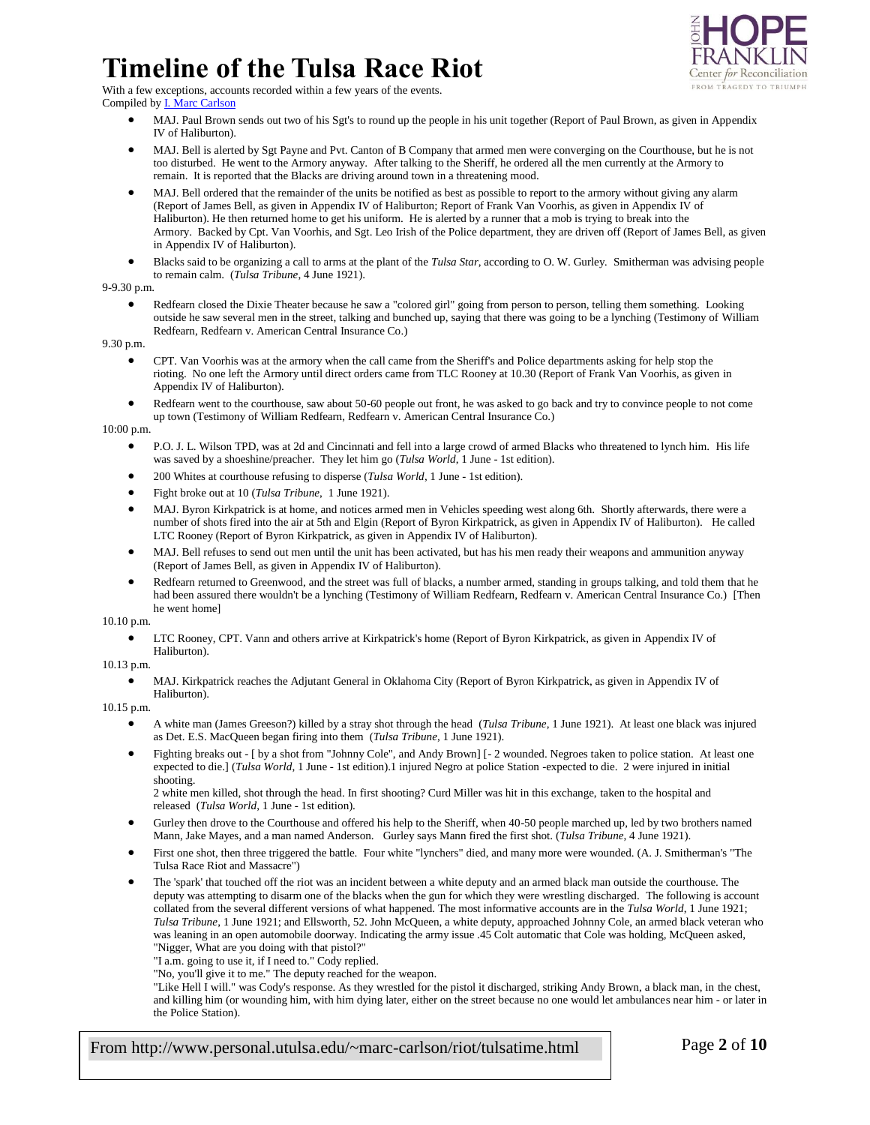

With a few exceptions, accounts recorded within a few years of the events. Compiled b[y I. Marc Carlson](mailto:marc-carlson@utulsa.edu)

- MAJ. Paul Brown sends out two of his Sgt's to round up the people in his unit together (Report of Paul Brown, as given in Appendix IV of Haliburton).
- MAJ. Bell is alerted by Sgt Payne and Pvt. Canton of B Company that armed men were converging on the Courthouse, but he is not too disturbed. He went to the Armory anyway. After talking to the Sheriff, he ordered all the men currently at the Armory to remain. It is reported that the Blacks are driving around town in a threatening mood.
- MAJ. Bell ordered that the remainder of the units be notified as best as possible to report to the armory without giving any alarm (Report of James Bell, as given in Appendix IV of Haliburton; Report of Frank Van Voorhis, as given in Appendix IV of Haliburton). He then returned home to get his uniform. He is alerted by a runner that a mob is trying to break into the Armory. Backed by Cpt. Van Voorhis, and Sgt. Leo Irish of the Police department, they are driven off (Report of James Bell, as given in Appendix IV of Haliburton).
- Blacks said to be organizing a call to arms at the plant of the *Tulsa Star*, according to O. W. Gurley*.* Smitherman was advising people to remain calm. (*Tulsa Tribune*, 4 June 1921).

#### 9-9.30 p.m.

 Redfearn closed the Dixie Theater because he saw a "colored girl" going from person to person, telling them something. Looking outside he saw several men in the street, talking and bunched up, saying that there was going to be a lynching (Testimony of William Redfearn, Redfearn v. American Central Insurance Co.)

9.30 p.m.

- CPT. Van Voorhis was at the armory when the call came from the Sheriff's and Police departments asking for help stop the rioting. No one left the Armory until direct orders came from TLC Rooney at 10.30 (Report of Frank Van Voorhis, as given in Appendix IV of Haliburton).
- Redfearn went to the courthouse, saw about 50-60 people out front, he was asked to go back and try to convince people to not come up town (Testimony of William Redfearn, Redfearn v. American Central Insurance Co.)

#### 10:00 p.m.

- P.O. J. L. Wilson TPD, was at 2d and Cincinnati and fell into a large crowd of armed Blacks who threatened to lynch him. His life was saved by a shoeshine/preacher. They let him go (*Tulsa World*, 1 June - 1st edition).
- 200 Whites at courthouse refusing to disperse (*Tulsa World*, 1 June 1st edition).
- Fight broke out at 10 (*Tulsa Tribune*, 1 June 1921).
- MAJ. Byron Kirkpatrick is at home, and notices armed men in Vehicles speeding west along 6th. Shortly afterwards, there were a number of shots fired into the air at 5th and Elgin (Report of Byron Kirkpatrick, as given in Appendix IV of Haliburton). He called LTC Rooney (Report of Byron Kirkpatrick, as given in Appendix IV of Haliburton).
- MAJ. Bell refuses to send out men until the unit has been activated, but has his men ready their weapons and ammunition anyway (Report of James Bell, as given in Appendix IV of Haliburton).
- Redfearn returned to Greenwood, and the street was full of blacks, a number armed, standing in groups talking, and told them that he had been assured there wouldn't be a lynching (Testimony of William Redfearn, Redfearn v. American Central Insurance Co.) [Then he went home]

10.10 p.m.

 LTC Rooney, CPT. Vann and others arrive at Kirkpatrick's home (Report of Byron Kirkpatrick, as given in Appendix IV of Haliburton).

10.13 p.m.

 MAJ. Kirkpatrick reaches the Adjutant General in Oklahoma City (Report of Byron Kirkpatrick, as given in Appendix IV of Haliburton).

10.15 p.m.

- A white man (James Greeson?) killed by a stray shot through the head (*Tulsa Tribune*, 1 June 1921). At least one black was injured as Det. E.S. MacQueen began firing into them (*Tulsa Tribune*, 1 June 1921).
- Fighting breaks out [ by a shot from "Johnny Cole", and Andy Brown] [-2 wounded. Negroes taken to police station. At least one expected to die.] (*Tulsa World*, 1 June - 1st edition).1 injured Negro at police Station -expected to die. 2 were injured in initial shooting.

2 white men killed, shot through the head. In first shooting? Curd Miller was hit in this exchange, taken to the hospital and released (*Tulsa World*, 1 June - 1st edition).

- Gurley then drove to the Courthouse and offered his help to the Sheriff, when 40-50 people marched up, led by two brothers named Mann, Jake Mayes, and a man named Anderson. Gurley says Mann fired the first shot. (*Tulsa Tribune*, 4 June 1921).
- First one shot, then three triggered the battle. Four white "lynchers" died, and many more were wounded. (A. J. Smitherman's "The Tulsa Race Riot and Massacre")
- The 'spark' that touched off the riot was an incident between a white deputy and an armed black man outside the courthouse. The deputy was attempting to disarm one of the blacks when the gun for which they were wrestling discharged. The following is account collated from the several different versions of what happened. The most informative accounts are in the *Tulsa World*, 1 June 1921; *Tulsa Tribune*, 1 June 1921; and Ellsworth, 52. John McQueen, a white deputy, approached Johnny Cole, an armed black veteran who was leaning in an open automobile doorway. Indicating the army issue .45 Colt automatic that Cole was holding, McQueen asked, "Nigger, What are you doing with that pistol?"

"I a.m. going to use it, if I need to." Cody replied.

"No, you'll give it to me." The deputy reached for the weapon.

"Like Hell I will." was Cody's response. As they wrestled for the pistol it discharged, striking Andy Brown, a black man, in the chest, and killing him (or wounding him, with him dying later, either on the street because no one would let ambulances near him - or later in the Police Station).

From http://www.personal.utulsa.edu/~marc-carlson/riot/tulsatime.html Page **2** of **10**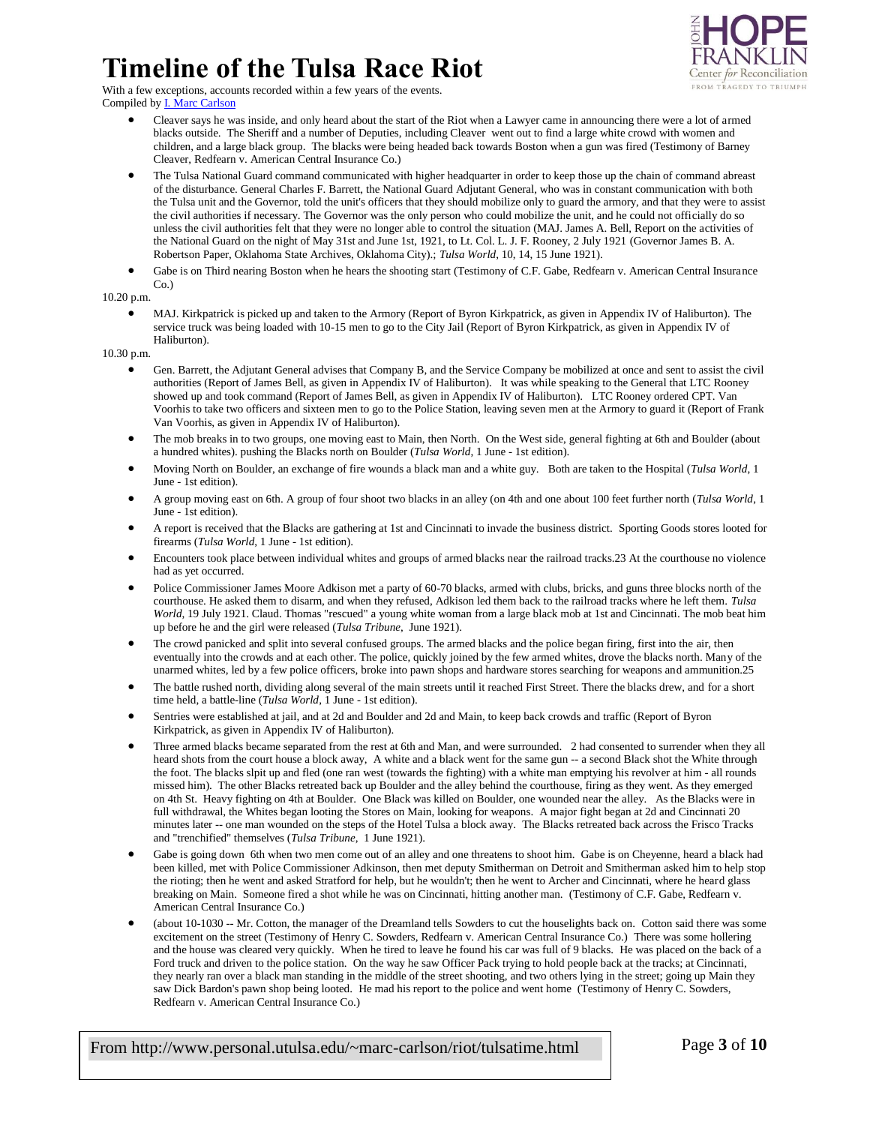

With a few exceptions, accounts recorded within a few years of the events. Compiled by **I. Marc Carlson** 

- Cleaver says he was inside, and only heard about the start of the Riot when a Lawyer came in announcing there were a lot of armed blacks outside. The Sheriff and a number of Deputies, including Cleaver went out to find a large white crowd with women and children, and a large black group. The blacks were being headed back towards Boston when a gun was fired (Testimony of Barney Cleaver, Redfearn v. American Central Insurance Co.)
- The Tulsa National Guard command communicated with higher headquarter in order to keep those up the chain of command abreast of the disturbance. General Charles F. Barrett, the National Guard Adjutant General, who was in constant communication with both the Tulsa unit and the Governor, told the unit's officers that they should mobilize only to guard the armory, and that they were to assist the civil authorities if necessary. The Governor was the only person who could mobilize the unit, and he could not officially do so unless the civil authorities felt that they were no longer able to control the situation (MAJ. James A. Bell, Report on the activities of the National Guard on the night of May 31st and June 1st, 1921, to Lt. Col. L. J. F. Rooney, 2 July 1921 (Governor James B. A. Robertson Paper, Oklahoma State Archives, Oklahoma City).; *Tulsa World*, 10, 14, 15 June 1921).
- Gabe is on Third nearing Boston when he hears the shooting start (Testimony of C.F. Gabe, Redfearn v. American Central Insurance Co.)

10.20 p.m.

 MAJ. Kirkpatrick is picked up and taken to the Armory (Report of Byron Kirkpatrick, as given in Appendix IV of Haliburton). The service truck was being loaded with 10-15 men to go to the City Jail (Report of Byron Kirkpatrick, as given in Appendix IV of Haliburton).

10.30 p.m.

- Gen. Barrett, the Adjutant General advises that Company B, and the Service Company be mobilized at once and sent to assist the civil authorities (Report of James Bell, as given in Appendix IV of Haliburton). It was while speaking to the General that LTC Rooney showed up and took command (Report of James Bell, as given in Appendix IV of Haliburton). LTC Rooney ordered CPT. Van Voorhis to take two officers and sixteen men to go to the Police Station, leaving seven men at the Armory to guard it (Report of Frank Van Voorhis, as given in Appendix IV of Haliburton).
- The mob breaks in to two groups, one moving east to Main, then North. On the West side, general fighting at 6th and Boulder (about a hundred whites). pushing the Blacks north on Boulder (*Tulsa World*, 1 June - 1st edition).
- Moving North on Boulder, an exchange of fire wounds a black man and a white guy. Both are taken to the Hospital (*Tulsa World*, 1 June - 1st edition).
- A group moving east on 6th. A group of four shoot two blacks in an alley (on 4th and one about 100 feet further north (*Tulsa World*, 1 June - 1st edition).
- A report is received that the Blacks are gathering at 1st and Cincinnati to invade the business district. Sporting Goods stores looted for firearms (*Tulsa World*, 1 June - 1st edition).
- Encounters took place between individual whites and groups of armed blacks near the railroad tracks.23 At the courthouse no violence had as yet occurred.
- Police Commissioner James Moore Adkison met a party of 60-70 blacks, armed with clubs, bricks, and guns three blocks north of the courthouse. He asked them to disarm, and when they refused, Adkison led them back to the railroad tracks where he left them. *Tulsa World*, 19 July 1921. Claud. Thomas "rescued" a young white woman from a large black mob at 1st and Cincinnati. The mob beat him up before he and the girl were released (*Tulsa Tribune*, June 1921).
- The crowd panicked and split into several confused groups. The armed blacks and the police began firing, first into the air, then eventually into the crowds and at each other. The police, quickly joined by the few armed whites, drove the blacks north. Many of the unarmed whites, led by a few police officers, broke into pawn shops and hardware stores searching for weapons and ammunition.25
- The battle rushed north, dividing along several of the main streets until it reached First Street. There the blacks drew, and for a short time held, a battle-line (*Tulsa World*, 1 June - 1st edition).
- Sentries were established at jail, and at 2d and Boulder and 2d and Main, to keep back crowds and traffic (Report of Byron Kirkpatrick, as given in Appendix IV of Haliburton).
- Three armed blacks became separated from the rest at 6th and Man, and were surrounded. 2 had consented to surrender when they all heard shots from the court house a block away, A white and a black went for the same gun -- a second Black shot the White through the foot. The blacks slpit up and fled (one ran west (towards the fighting) with a white man emptying his revolver at him - all rounds missed him). The other Blacks retreated back up Boulder and the alley behind the courthouse, firing as they went. As they emerged on 4th St. Heavy fighting on 4th at Boulder. One Black was killed on Boulder, one wounded near the alley. As the Blacks were in full withdrawal, the Whites began looting the Stores on Main, looking for weapons. A major fight began at 2d and Cincinnati 20 minutes later -- one man wounded on the steps of the Hotel Tulsa a block away. The Blacks retreated back across the Frisco Tracks and "trenchified" themselves (*Tulsa Tribune*, 1 June 1921).
- Gabe is going down 6th when two men come out of an alley and one threatens to shoot him. Gabe is on Cheyenne, heard a black had been killed, met with Police Commissioner Adkinson, then met deputy Smitherman on Detroit and Smitherman asked him to help stop the rioting; then he went and asked Stratford for help, but he wouldn't; then he went to Archer and Cincinnati, where he heard glass breaking on Main. Someone fired a shot while he was on Cincinnati, hitting another man. (Testimony of C.F. Gabe, Redfearn v. American Central Insurance Co.)
- (about 10-1030 -- Mr. Cotton, the manager of the Dreamland tells Sowders to cut the houselights back on. Cotton said there was some excitement on the street (Testimony of Henry C. Sowders, Redfearn v. American Central Insurance Co.) There was some hollering and the house was cleared very quickly. When he tired to leave he found his car was full of 9 blacks. He was placed on the back of a Ford truck and driven to the police station. On the way he saw Officer Pack trying to hold people back at the tracks; at Cincinnati, they nearly ran over a black man standing in the middle of the street shooting, and two others lying in the street; going up Main they saw Dick Bardon's pawn shop being looted. He mad his report to the police and went home (Testimony of Henry C. Sowders, Redfearn v. American Central Insurance Co.)

From http://www.personal.utulsa.edu/~marc-carlson/riot/tulsatime.html Page **3** of **10**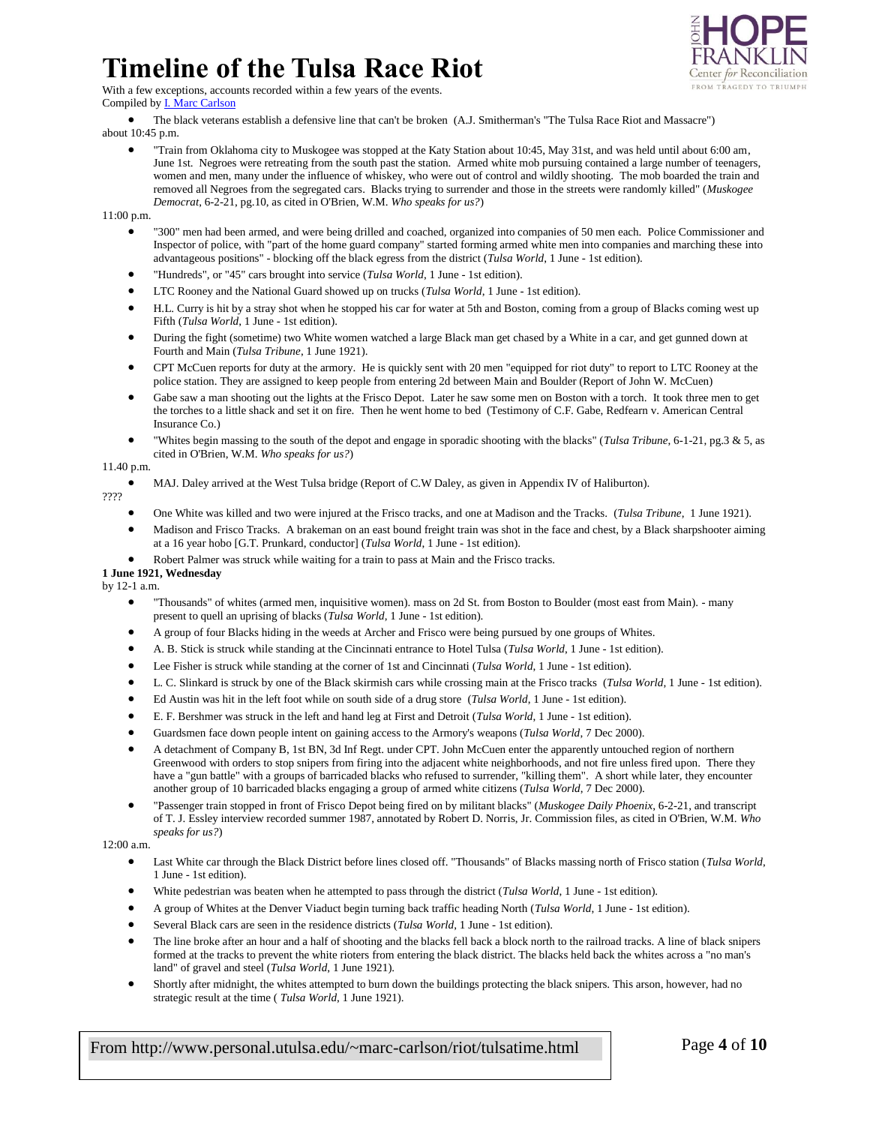### **Timeline of the Tulsa Race Riot** With a few exceptions, accounts recorded within a few years of the events.



Compiled b[y I. Marc Carlson](mailto:marc-carlson@utulsa.edu)

- The black veterans establish a defensive line that can't be broken (A.J. Smitherman's "The Tulsa Race Riot and Massacre")
- about 10:45 p.m.
	- "Train from Oklahoma city to Muskogee was stopped at the Katy Station about 10:45, May 31st, and was held until about 6:00 am, June 1st. Negroes were retreating from the south past the station. Armed white mob pursuing contained a large number of teenagers, women and men, many under the influence of whiskey, who were out of control and wildly shooting. The mob boarded the train and removed all Negroes from the segregated cars. Blacks trying to surrender and those in the streets were randomly killed" (*Muskogee Democrat*, 6-2-21, pg.10, as cited in O'Brien, W.M. *Who speaks for us?*)

11:00 p.m.

- "300" men had been armed, and were being drilled and coached, organized into companies of 50 men each. Police Commissioner and Inspector of police, with "part of the home guard company" started forming armed white men into companies and marching these into advantageous positions" - blocking off the black egress from the district (*Tulsa World*, 1 June - 1st edition).
- "Hundreds", or "45" cars brought into service (*Tulsa World*, 1 June 1st edition).
- LTC Rooney and the National Guard showed up on trucks (*Tulsa World*, 1 June 1st edition).
- H.L. Curry is hit by a stray shot when he stopped his car for water at 5th and Boston, coming from a group of Blacks coming west up Fifth (*Tulsa World*, 1 June - 1st edition).
- During the fight (sometime) two White women watched a large Black man get chased by a White in a car, and get gunned down at Fourth and Main (*Tulsa Tribune*, 1 June 1921).
- CPT McCuen reports for duty at the armory. He is quickly sent with 20 men "equipped for riot duty" to report to LTC Rooney at the police station. They are assigned to keep people from entering 2d between Main and Boulder (Report of John W. McCuen)
- Gabe saw a man shooting out the lights at the Frisco Depot. Later he saw some men on Boston with a torch. It took three men to get the torches to a little shack and set it on fire. Then he went home to bed (Testimony of C.F. Gabe, Redfearn v. American Central Insurance Co.)
- "Whites begin massing to the south of the depot and engage in sporadic shooting with the blacks" (*Tulsa Tribune*, 6-1-21, pg.3 & 5, as cited in O'Brien, W.M. *Who speaks for us?*)

#### 11.40 p.m.

MAJ. Daley arrived at the West Tulsa bridge (Report of C.W Daley, as given in Appendix IV of Haliburton).

????

- One White was killed and two were injured at the Frisco tracks, and one at Madison and the Tracks. (*Tulsa Tribune*, 1 June 1921).
- Madison and Frisco Tracks. A brakeman on an east bound freight train was shot in the face and chest, by a Black sharpshooter aiming at a 16 year hobo [G.T. Prunkard, conductor] (*Tulsa World*, 1 June - 1st edition).
- Robert Palmer was struck while waiting for a train to pass at Main and the Frisco tracks.

### **1 June 1921, Wednesday**

by 12-1 a.m.

- "Thousands" of whites (armed men, inquisitive women). mass on 2d St. from Boston to Boulder (most east from Main). many present to quell an uprising of blacks (*Tulsa World*, 1 June - 1st edition).
- A group of four Blacks hiding in the weeds at Archer and Frisco were being pursued by one groups of Whites.
- A. B. Stick is struck while standing at the Cincinnati entrance to Hotel Tulsa (*Tulsa World*, 1 June 1st edition).
- Lee Fisher is struck while standing at the corner of 1st and Cincinnati (*Tulsa World*, 1 June 1st edition).
- L. C. Slinkard is struck by one of the Black skirmish cars while crossing main at the Frisco tracks (*Tulsa World*, 1 June 1st edition).
- Ed Austin was hit in the left foot while on south side of a drug store (*Tulsa World*, 1 June 1st edition).
- E. F. Bershmer was struck in the left and hand leg at First and Detroit (*Tulsa World*, 1 June 1st edition).
- Guardsmen face down people intent on gaining access to the Armory's weapons (*Tulsa World*, 7 Dec 2000).
- A detachment of Company B, 1st BN, 3d Inf Regt. under CPT. John McCuen enter the apparently untouched region of northern Greenwood with orders to stop snipers from firing into the adjacent white neighborhoods, and not fire unless fired upon. There they have a "gun battle" with a groups of barricaded blacks who refused to surrender, "killing them". A short while later, they encounter another group of 10 barricaded blacks engaging a group of armed white citizens (*Tulsa World*, 7 Dec 2000).
- "Passenger train stopped in front of Frisco Depot being fired on by militant blacks" (*Muskogee Daily Phoenix*, 6-2-21, and transcript of T. J. Essley interview recorded summer 1987, annotated by Robert D. Norris, Jr. Commission files, as cited in O'Brien, W.M. *Who speaks for us?*)

12:00 a.m.

- Last White car through the Black District before lines closed off. "Thousands" of Blacks massing north of Frisco station (*Tulsa World*, 1 June - 1st edition).
- White pedestrian was beaten when he attempted to pass through the district (*Tulsa World*, 1 June 1st edition).
- A group of Whites at the Denver Viaduct begin turning back traffic heading North (*Tulsa World*, 1 June 1st edition).
- Several Black cars are seen in the residence districts (*Tulsa World*, 1 June 1st edition).
- The line broke after an hour and a half of shooting and the blacks fell back a block north to the railroad tracks. A line of black snipers formed at the tracks to prevent the white rioters from entering the black district. The blacks held back the whites across a "no man's land" of gravel and steel (*Tulsa World*, 1 June 1921).
- Shortly after midnight, the whites attempted to burn down the buildings protecting the black snipers. This arson, however, had no strategic result at the time ( *Tulsa World*, 1 June 1921).

From http://www.personal.utulsa.edu/~marc-carlson/riot/tulsatime.html Page **4** of **10**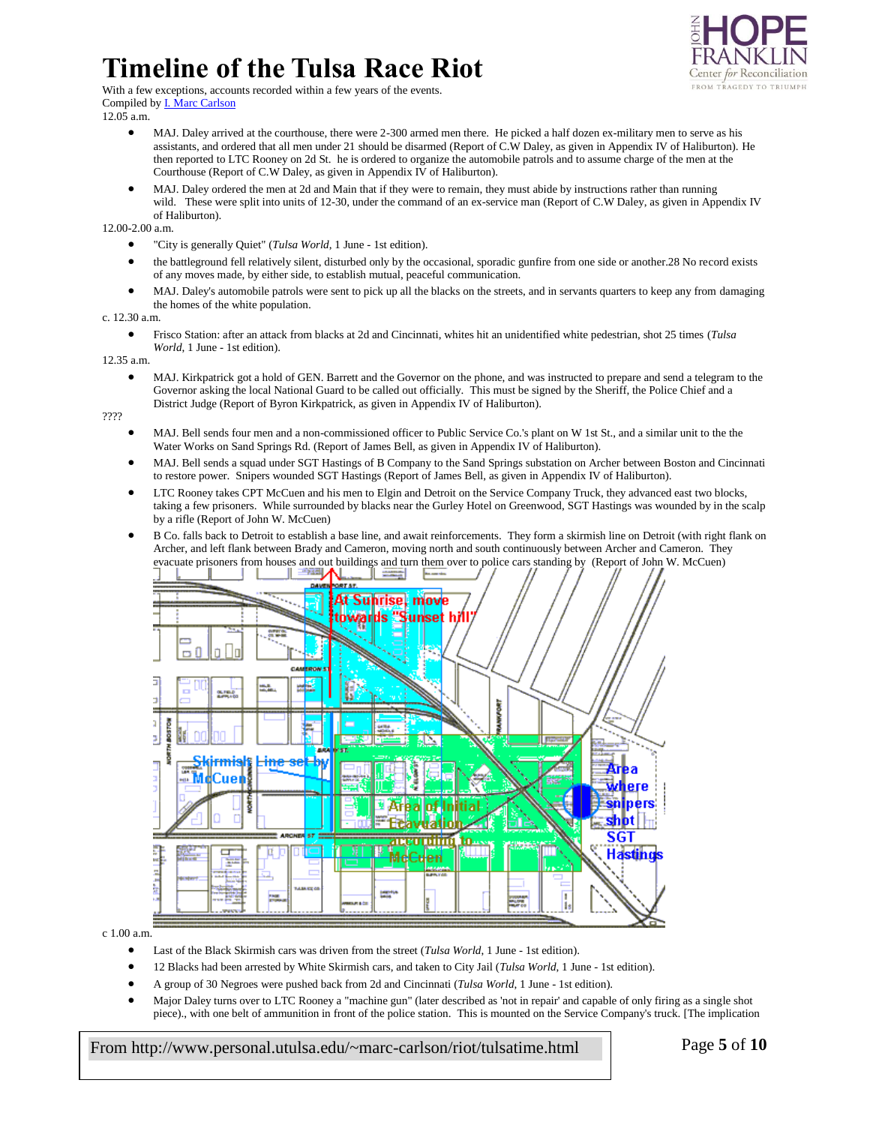

With a few exceptions, accounts recorded within a few years of the events. Compiled by **I. Marc Carlson** 

12.05 a.m.

- MAJ. Daley arrived at the courthouse, there were 2-300 armed men there. He picked a half dozen ex-military men to serve as his assistants, and ordered that all men under 21 should be disarmed (Report of C.W Daley, as given in Appendix IV of Haliburton). He then reported to LTC Rooney on 2d St. he is ordered to organize the automobile patrols and to assume charge of the men at the Courthouse (Report of C.W Daley, as given in Appendix IV of Haliburton).
- MAJ. Daley ordered the men at 2d and Main that if they were to remain, they must abide by instructions rather than running wild. These were split into units of 12-30, under the command of an ex-service man (Report of C.W Daley, as given in Appendix IV of Haliburton).

12.00-2.00 a.m.

- "City is generally Quiet" (*Tulsa World*, 1 June 1st edition).
- the battleground fell relatively silent, disturbed only by the occasional, sporadic gunfire from one side or another.28 No record exists of any moves made, by either side, to establish mutual, peaceful communication.
- MAJ. Daley's automobile patrols were sent to pick up all the blacks on the streets, and in servants quarters to keep any from damaging the homes of the white population.

c. 12.30 a.m.

 Frisco Station: after an attack from blacks at 2d and Cincinnati, whites hit an unidentified white pedestrian, shot 25 times (*Tulsa World*, 1 June - 1st edition).

12.35 a.m.

 MAJ. Kirkpatrick got a hold of GEN. Barrett and the Governor on the phone, and was instructed to prepare and send a telegram to the Governor asking the local National Guard to be called out officially. This must be signed by the Sheriff, the Police Chief and a District Judge (Report of Byron Kirkpatrick, as given in Appendix IV of Haliburton).

????

- MAJ. Bell sends four men and a non-commissioned officer to Public Service Co.'s plant on W 1st St., and a similar unit to the the Water Works on Sand Springs Rd. (Report of James Bell, as given in Appendix IV of Haliburton).
- MAJ. Bell sends a squad under SGT Hastings of B Company to the Sand Springs substation on Archer between Boston and Cincinnati to restore power. Snipers wounded SGT Hastings (Report of James Bell, as given in Appendix IV of Haliburton).
- LTC Rooney takes CPT McCuen and his men to Elgin and Detroit on the Service Company Truck, they advanced east two blocks, taking a few prisoners. While surrounded by blacks near the Gurley Hotel on Greenwood, SGT Hastings was wounded by in the scalp by a rifle (Report of John W. McCuen)
- B Co. falls back to Detroit to establish a base line, and await reinforcements. They form a skirmish line on Detroit (with right flank on Archer, and left flank between Brady and Cameron, moving north and south continuously between Archer and Cameron. They evacuate prisoners from houses and out buildings and turn them over to police cars standing by (Report of John W. McCuen)



c 1.00 a.m.

- Last of the Black Skirmish cars was driven from the street (*Tulsa World*, 1 June 1st edition).
- 12 Blacks had been arrested by White Skirmish cars, and taken to City Jail (*Tulsa World*, 1 June 1st edition).
- A group of 30 Negroes were pushed back from 2d and Cincinnati (*Tulsa World*, 1 June 1st edition).
- Major Daley turns over to LTC Rooney a "machine gun" (later described as 'not in repair' and capable of only firing as a single shot piece)., with one belt of ammunition in front of the police station. This is mounted on the Service Company's truck. [The implication

From http://www.personal.utulsa.edu/~marc-carlson/riot/tulsatime.html Page **5** of **10**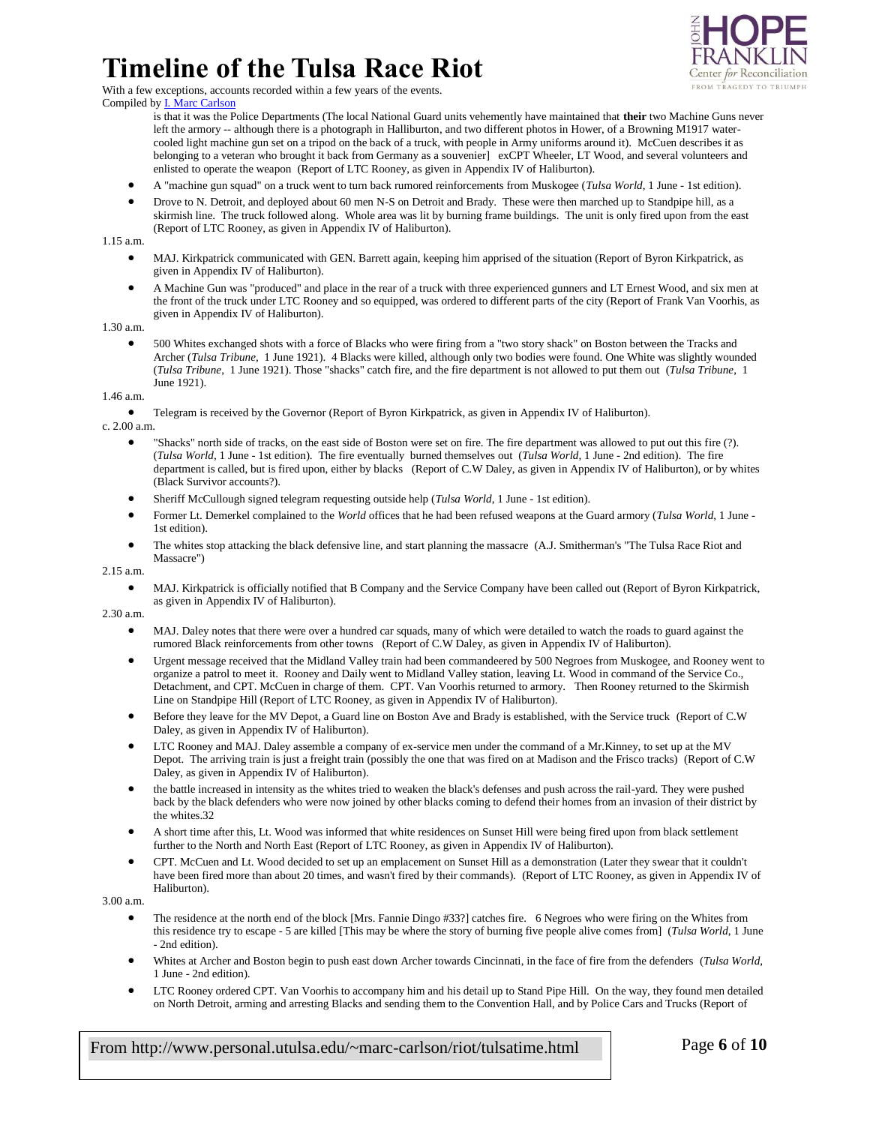

With a few exceptions, accounts recorded within a few years of the events. Compiled by **I. Marc Carlson** 

is that it was the Police Departments (The local National Guard units vehemently have maintained that **their** two Machine Guns never left the armory -- although there is a photograph in Halliburton, and two different photos in Hower, of a Browning M1917 watercooled light machine gun set on a tripod on the back of a truck, with people in Army uniforms around it). McCuen describes it as belonging to a veteran who brought it back from Germany as a souvenier] exCPT Wheeler, LT Wood, and several volunteers and enlisted to operate the weapon (Report of LTC Rooney, as given in Appendix IV of Haliburton).

- A "machine gun squad" on a truck went to turn back rumored reinforcements from Muskogee (*Tulsa World*, 1 June 1st edition).
- Drove to N. Detroit, and deployed about 60 men N-S on Detroit and Brady. These were then marched up to Standpipe hill, as a skirmish line. The truck followed along. Whole area was lit by burning frame buildings. The unit is only fired upon from the east (Report of LTC Rooney, as given in Appendix IV of Haliburton).

1.15 a.m.

- MAJ. Kirkpatrick communicated with GEN. Barrett again, keeping him apprised of the situation (Report of Byron Kirkpatrick, as given in Appendix IV of Haliburton).
- A Machine Gun was "produced" and place in the rear of a truck with three experienced gunners and LT Ernest Wood, and six men at the front of the truck under LTC Rooney and so equipped, was ordered to different parts of the city (Report of Frank Van Voorhis, as given in Appendix IV of Haliburton).

1.30 a.m.

 500 Whites exchanged shots with a force of Blacks who were firing from a "two story shack" on Boston between the Tracks and Archer (*Tulsa Tribune*, 1 June 1921). 4 Blacks were killed, although only two bodies were found. One White was slightly wounded (*Tulsa Tribune*, 1 June 1921). Those "shacks" catch fire, and the fire department is not allowed to put them out (*Tulsa Tribune*, 1 June 1921).

1.46 a.m.

Telegram is received by the Governor (Report of Byron Kirkpatrick, as given in Appendix IV of Haliburton).

c. 2.00 a.m.

- "Shacks" north side of tracks, on the east side of Boston were set on fire. The fire department was allowed to put out this fire (?). (*Tulsa World*, 1 June - 1st edition). The fire eventually burned themselves out (*Tulsa World*, 1 June - 2nd edition). The fire department is called, but is fired upon, either by blacks (Report of C.W Daley, as given in Appendix IV of Haliburton), or by whites (Black Survivor accounts?).
- Sheriff McCullough signed telegram requesting outside help (*Tulsa World*, 1 June 1st edition).
- Former Lt. Demerkel complained to the *World* offices that he had been refused weapons at the Guard armory (*Tulsa World*, 1 June 1st edition).
- The whites stop attacking the black defensive line, and start planning the massacre (A.J. Smitherman's "The Tulsa Race Riot and Massacre")

2.15 a.m.

 MAJ. Kirkpatrick is officially notified that B Company and the Service Company have been called out (Report of Byron Kirkpatrick, as given in Appendix IV of Haliburton).

2.30 a.m.

- MAJ. Daley notes that there were over a hundred car squads, many of which were detailed to watch the roads to guard against the rumored Black reinforcements from other towns (Report of C.W Daley, as given in Appendix IV of Haliburton).
- Urgent message received that the Midland Valley train had been commandeered by 500 Negroes from Muskogee, and Rooney went to organize a patrol to meet it. Rooney and Daily went to Midland Valley station, leaving Lt. Wood in command of the Service Co., Detachment, and CPT. McCuen in charge of them. CPT. Van Voorhis returned to armory. Then Rooney returned to the Skirmish Line on Standpipe Hill (Report of LTC Rooney, as given in Appendix IV of Haliburton).
- Before they leave for the MV Depot, a Guard line on Boston Ave and Brady is established, with the Service truck (Report of C.W Daley, as given in Appendix IV of Haliburton).
- LTC Rooney and MAJ. Daley assemble a company of ex-service men under the command of a Mr.Kinney, to set up at the MV Depot. The arriving train is just a freight train (possibly the one that was fired on at Madison and the Frisco tracks) (Report of C.W Daley, as given in Appendix IV of Haliburton).
- the battle increased in intensity as the whites tried to weaken the black's defenses and push across the rail-yard. They were pushed back by the black defenders who were now joined by other blacks coming to defend their homes from an invasion of their district by the whites.32
- A short time after this, Lt. Wood was informed that white residences on Sunset Hill were being fired upon from black settlement further to the North and North East (Report of LTC Rooney, as given in Appendix IV of Haliburton).
- CPT. McCuen and Lt. Wood decided to set up an emplacement on Sunset Hill as a demonstration (Later they swear that it couldn't have been fired more than about 20 times, and wasn't fired by their commands). (Report of LTC Rooney, as given in Appendix IV of Haliburton).

3.00 a.m.

- The residence at the north end of the block [Mrs. Fannie Dingo #33?] catches fire. 6 Negroes who were firing on the Whites from this residence try to escape - 5 are killed [This may be where the story of burning five people alive comes from] (*Tulsa World*, 1 June - 2nd edition).
- Whites at Archer and Boston begin to push east down Archer towards Cincinnati, in the face of fire from the defenders (*Tulsa World*, 1 June - 2nd edition).
- LTC Rooney ordered CPT. Van Voorhis to accompany him and his detail up to Stand Pipe Hill. On the way, they found men detailed on North Detroit, arming and arresting Blacks and sending them to the Convention Hall, and by Police Cars and Trucks (Report of

From http://www.personal.utulsa.edu/~marc-carlson/riot/tulsatime.html Page **6** of **10**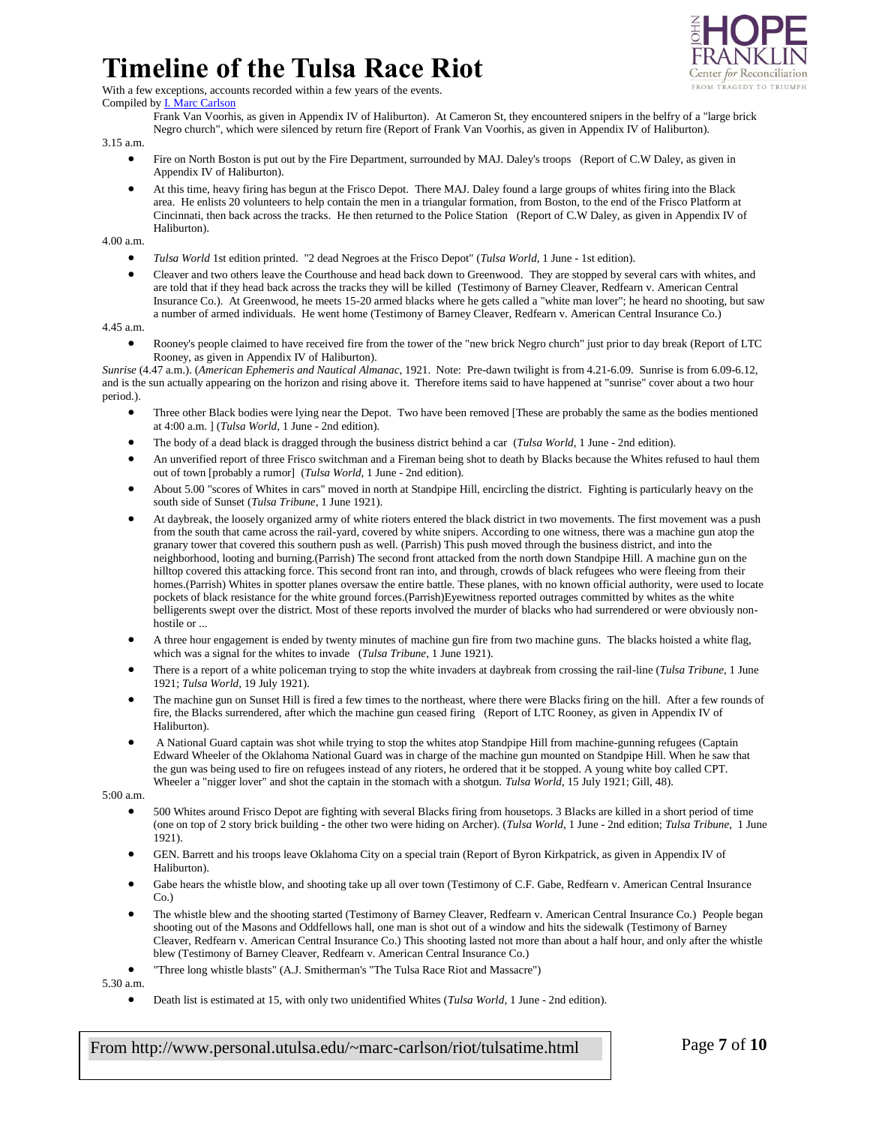

With a few exceptions, accounts recorded within a few years of the events.

Compiled b[y I. Marc Carlson](mailto:marc-carlson@utulsa.edu)

Frank Van Voorhis, as given in Appendix IV of Haliburton). At Cameron St, they encountered snipers in the belfry of a "large brick Negro church", which were silenced by return fire (Report of Frank Van Voorhis, as given in Appendix IV of Haliburton).

3.15 a.m.

- Fire on North Boston is put out by the Fire Department, surrounded by MAJ. Daley's troops (Report of C.W Daley, as given in Appendix IV of Haliburton).
- At this time, heavy firing has begun at the Frisco Depot. There MAJ. Daley found a large groups of whites firing into the Black area. He enlists 20 volunteers to help contain the men in a triangular formation, from Boston, to the end of the Frisco Platform at Cincinnati, then back across the tracks. He then returned to the Police Station (Report of C.W Daley, as given in Appendix IV of Haliburton).

4.00 a.m.

- *Tulsa World* 1st edition printed. "2 dead Negroes at the Frisco Depot" (*Tulsa World*, 1 June 1st edition).
- Cleaver and two others leave the Courthouse and head back down to Greenwood. They are stopped by several cars with whites, and are told that if they head back across the tracks they will be killed (Testimony of Barney Cleaver, Redfearn v. American Central Insurance Co.). At Greenwood, he meets 15-20 armed blacks where he gets called a "white man lover"; he heard no shooting, but saw a number of armed individuals. He went home (Testimony of Barney Cleaver, Redfearn v. American Central Insurance Co.)

4.45 a.m.

 Rooney's people claimed to have received fire from the tower of the "new brick Negro church" just prior to day break (Report of LTC Rooney, as given in Appendix IV of Haliburton).

*Sunrise* (4.47 a.m.). (*American Ephemeris and Nautical Almanac*, 1921. Note: Pre-dawn twilight is from 4.21-6.09. Sunrise is from 6.09-6.12, and is the sun actually appearing on the horizon and rising above it. Therefore items said to have happened at "sunrise" cover about a two hour period.).

- Three other Black bodies were lying near the Depot. Two have been removed [These are probably the same as the bodies mentioned at 4:00 a.m. ] (*Tulsa World*, 1 June - 2nd edition).
- The body of a dead black is dragged through the business district behind a car (*Tulsa World*, 1 June 2nd edition).
- An unverified report of three Frisco switchman and a Fireman being shot to death by Blacks because the Whites refused to haul them out of town [probably a rumor] (*Tulsa World*, 1 June - 2nd edition).
- About 5.00 "scores of Whites in cars" moved in north at Standpipe Hill, encircling the district. Fighting is particularly heavy on the south side of Sunset (*Tulsa Tribune*, 1 June 1921).
- At daybreak, the loosely organized army of white rioters entered the black district in two movements. The first movement was a push from the south that came across the rail-yard, covered by white snipers. According to one witness, there was a machine gun atop the granary tower that covered this southern push as well. (Parrish) This push moved through the business district, and into the neighborhood, looting and burning.(Parrish) The second front attacked from the north down Standpipe Hill. A machine gun on the hilltop covered this attacking force. This second front ran into, and through, crowds of black refugees who were fleeing from their homes.(Parrish) Whites in spotter planes oversaw the entire battle. These planes, with no known official authority, were used to locate pockets of black resistance for the white ground forces.(Parrish)Eyewitness reported outrages committed by whites as the white belligerents swept over the district. Most of these reports involved the murder of blacks who had surrendered or were obviously nonhostile or ...
- A three hour engagement is ended by twenty minutes of machine gun fire from two machine guns. The blacks hoisted a white flag, which was a signal for the whites to invade (*Tulsa Tribune*, 1 June 1921).
- There is a report of a white policeman trying to stop the white invaders at daybreak from crossing the rail-line (*Tulsa Tribune*, 1 June 1921; *Tulsa World*, 19 July 1921).
- The machine gun on Sunset Hill is fired a few times to the northeast, where there were Blacks firing on the hill. After a few rounds of fire, the Blacks surrendered, after which the machine gun ceased firing (Report of LTC Rooney, as given in Appendix IV of Haliburton).
- A National Guard captain was shot while trying to stop the whites atop Standpipe Hill from machine-gunning refugees (Captain Edward Wheeler of the Oklahoma National Guard was in charge of the machine gun mounted on Standpipe Hill. When he saw that the gun was being used to fire on refugees instead of any rioters, he ordered that it be stopped. A young white boy called CPT. Wheeler a "nigger lover" and shot the captain in the stomach with a shotgun. *Tulsa World*, 15 July 1921; Gill, 48).

5:00 a.m.

- 500 Whites around Frisco Depot are fighting with several Blacks firing from housetops. 3 Blacks are killed in a short period of time (one on top of 2 story brick building - the other two were hiding on Archer). (*Tulsa World*, 1 June - 2nd edition; *Tulsa Tribune*, 1 June 1921).
- GEN. Barrett and his troops leave Oklahoma City on a special train (Report of Byron Kirkpatrick, as given in Appendix IV of Haliburton).
- Gabe hears the whistle blow, and shooting take up all over town (Testimony of C.F. Gabe, Redfearn v. American Central Insurance Co.)
- The whistle blew and the shooting started (Testimony of Barney Cleaver, Redfearn v. American Central Insurance Co.) People began shooting out of the Masons and Oddfellows hall, one man is shot out of a window and hits the sidewalk (Testimony of Barney Cleaver, Redfearn v. American Central Insurance Co.) This shooting lasted not more than about a half hour, and only after the whistle blew (Testimony of Barney Cleaver, Redfearn v. American Central Insurance Co.)
- "Three long whistle blasts" (A.J. Smitherman's "The Tulsa Race Riot and Massacre")

5.30 a.m.

Death list is estimated at 15, with only two unidentified Whites (*Tulsa World*, 1 June - 2nd edition).

From http://www.personal.utulsa.edu/~marc-carlson/riot/tulsatime.html Page **7** of **10**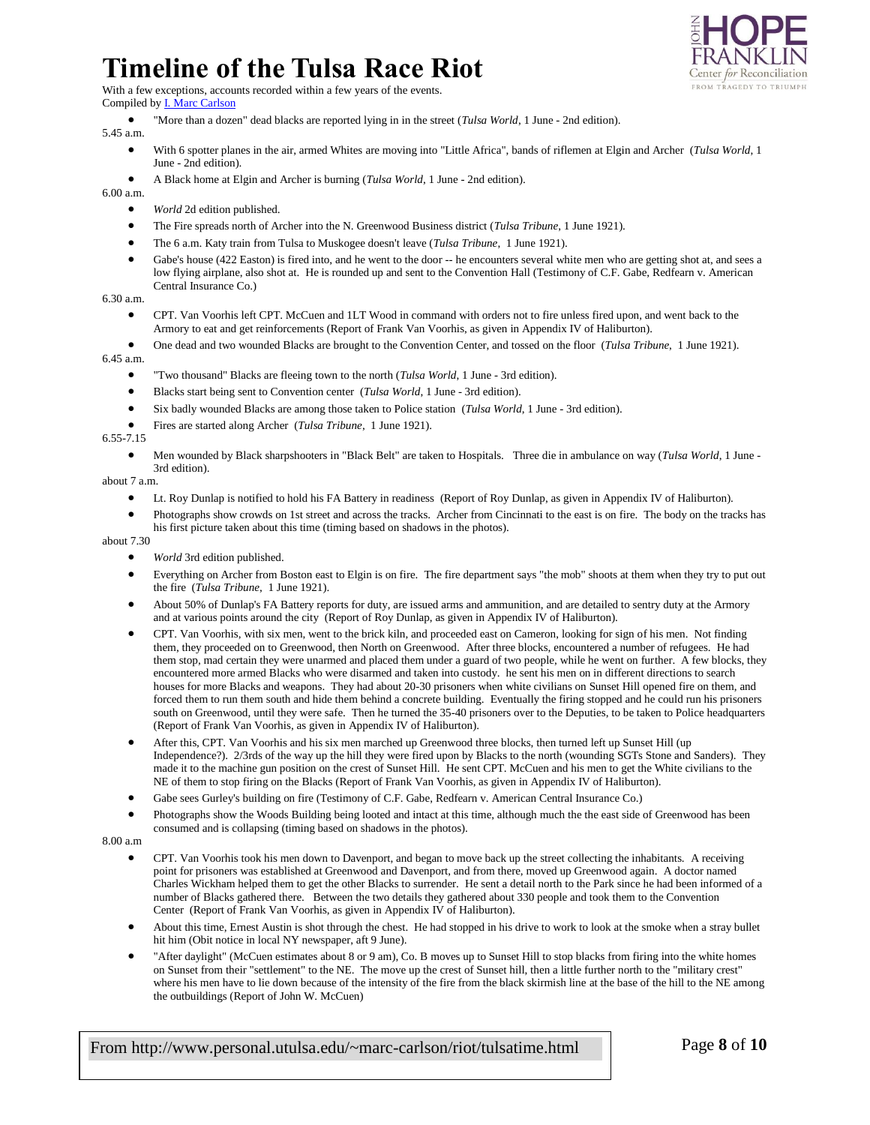

With a few exceptions, accounts recorded within a few years of the events.

Compiled b[y I. Marc Carlson](mailto:marc-carlson@utulsa.edu)

"More than a dozen" dead blacks are reported lying in in the street (*Tulsa World*, 1 June - 2nd edition).

5.45 a.m.

- With 6 spotter planes in the air, armed Whites are moving into "Little Africa", bands of riflemen at Elgin and Archer (*Tulsa World*, 1 June - 2nd edition).
- A Black home at Elgin and Archer is burning (*Tulsa World*, 1 June 2nd edition).

6.00 a.m.

- *World* 2d edition published.
- The Fire spreads north of Archer into the N. Greenwood Business district (*Tulsa Tribune*, 1 June 1921).
- The 6 a.m. Katy train from Tulsa to Muskogee doesn't leave (*Tulsa Tribune*, 1 June 1921).
- Gabe's house (422 Easton) is fired into, and he went to the door -- he encounters several white men who are getting shot at, and sees a low flying airplane, also shot at. He is rounded up and sent to the Convention Hall (Testimony of C.F. Gabe, Redfearn v. American Central Insurance Co.)

6.30 a.m.

- CPT. Van Voorhis left CPT. McCuen and 1LT Wood in command with orders not to fire unless fired upon, and went back to the Armory to eat and get reinforcements (Report of Frank Van Voorhis, as given in Appendix IV of Haliburton).
- One dead and two wounded Blacks are brought to the Convention Center, and tossed on the floor (*Tulsa Tribune*, 1 June 1921).

6.45 a.m.

- "Two thousand" Blacks are fleeing town to the north (*Tulsa World*, 1 June 3rd edition).
- Blacks start being sent to Convention center (*Tulsa World*, 1 June 3rd edition).
- Six badly wounded Blacks are among those taken to Police station (*Tulsa World*, 1 June 3rd edition).
- Fires are started along Archer (*Tulsa Tribune*, 1 June 1921).

6.55-7.15

 Men wounded by Black sharpshooters in "Black Belt" are taken to Hospitals. Three die in ambulance on way (*Tulsa World*, 1 June - 3rd edition).

about 7 a.m.

- Lt. Roy Dunlap is notified to hold his FA Battery in readiness (Report of Roy Dunlap, as given in Appendix IV of Haliburton).
- Photographs show crowds on 1st street and across the tracks. Archer from Cincinnati to the east is on fire. The body on the tracks has his first picture taken about this time (timing based on shadows in the photos).

about 7.30

- *World* 3rd edition published.
- Everything on Archer from Boston east to Elgin is on fire. The fire department says "the mob" shoots at them when they try to put out the fire (*Tulsa Tribune*, 1 June 1921).
- About 50% of Dunlap's FA Battery reports for duty, are issued arms and ammunition, and are detailed to sentry duty at the Armory and at various points around the city (Report of Roy Dunlap, as given in Appendix IV of Haliburton).
- CPT. Van Voorhis, with six men, went to the brick kiln, and proceeded east on Cameron, looking for sign of his men. Not finding them, they proceeded on to Greenwood, then North on Greenwood. After three blocks, encountered a number of refugees. He had them stop, mad certain they were unarmed and placed them under a guard of two people, while he went on further. A few blocks, they encountered more armed Blacks who were disarmed and taken into custody. he sent his men on in different directions to search houses for more Blacks and weapons. They had about 20-30 prisoners when white civilians on Sunset Hill opened fire on them, and forced them to run them south and hide them behind a concrete building. Eventually the firing stopped and he could run his prisoners south on Greenwood, until they were safe. Then he turned the 35-40 prisoners over to the Deputies, to be taken to Police headquarters (Report of Frank Van Voorhis, as given in Appendix IV of Haliburton).
- After this, CPT. Van Voorhis and his six men marched up Greenwood three blocks, then turned left up Sunset Hill (up Independence?). 2/3rds of the way up the hill they were fired upon by Blacks to the north (wounding SGTs Stone and Sanders). They made it to the machine gun position on the crest of Sunset Hill. He sent CPT. McCuen and his men to get the White civilians to the NE of them to stop firing on the Blacks (Report of Frank Van Voorhis, as given in Appendix IV of Haliburton).
- Gabe sees Gurley's building on fire (Testimony of C.F. Gabe, Redfearn v. American Central Insurance Co.)
- Photographs show the Woods Building being looted and intact at this time, although much the the east side of Greenwood has been consumed and is collapsing (timing based on shadows in the photos).

8.00 a.m

- CPT. Van Voorhis took his men down to Davenport, and began to move back up the street collecting the inhabitants. A receiving point for prisoners was established at Greenwood and Davenport, and from there, moved up Greenwood again. A doctor named Charles Wickham helped them to get the other Blacks to surrender. He sent a detail north to the Park since he had been informed of a number of Blacks gathered there. Between the two details they gathered about 330 people and took them to the Convention Center (Report of Frank Van Voorhis, as given in Appendix IV of Haliburton).
- About this time, Ernest Austin is shot through the chest. He had stopped in his drive to work to look at the smoke when a stray bullet hit him (Obit notice in local NY newspaper, aft 9 June).
- "After daylight" (McCuen estimates about 8 or 9 am), Co. B moves up to Sunset Hill to stop blacks from firing into the white homes on Sunset from their "settlement" to the NE. The move up the crest of Sunset hill, then a little further north to the "military crest" where his men have to lie down because of the intensity of the fire from the black skirmish line at the base of the hill to the NE among the outbuildings (Report of John W. McCuen)

From http://www.personal.utulsa.edu/~marc-carlson/riot/tulsatime.html Page **8** of **10**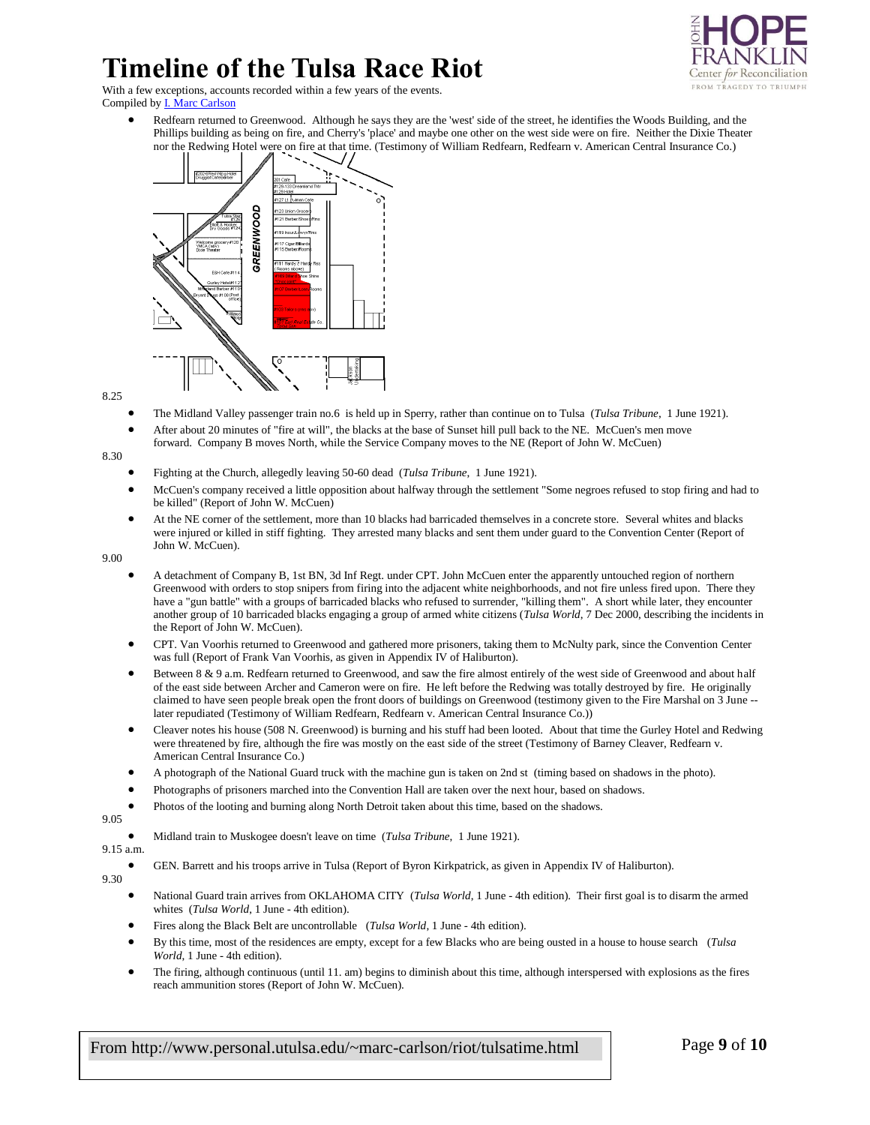

With a few exceptions, accounts recorded within a few years of the events. Compiled b[y I. Marc Carlson](mailto:marc-carlson@utulsa.edu)

 Redfearn returned to Greenwood. Although he says they are the 'west' side of the street, he identifies the Woods Building, and the Phillips building as being on fire, and Cherry's 'place' and maybe one other on the west side were on fire. Neither the Dixie Theater nor the Redwing Hotel were on fire at that time. (Testimony of William Redfearn, Redfearn v. American Central Insurance Co.)



8.25

- The Midland Valley passenger train no.6 is held up in Sperry, rather than continue on to Tulsa (*Tulsa Tribune*, 1 June 1921).
- After about 20 minutes of "fire at will", the blacks at the base of Sunset hill pull back to the NE. McCuen's men move forward. Company B moves North, while the Service Company moves to the NE (Report of John W. McCuen)

8.30

- Fighting at the Church, allegedly leaving 50-60 dead (*Tulsa Tribune*, 1 June 1921).
- McCuen's company received a little opposition about halfway through the settlement "Some negroes refused to stop firing and had to be killed" (Report of John W. McCuen)
- At the NE corner of the settlement, more than 10 blacks had barricaded themselves in a concrete store. Several whites and blacks were injured or killed in stiff fighting. They arrested many blacks and sent them under guard to the Convention Center (Report of John W. McCuen).

9.00

- A detachment of Company B, 1st BN, 3d Inf Regt. under CPT. John McCuen enter the apparently untouched region of northern Greenwood with orders to stop snipers from firing into the adjacent white neighborhoods, and not fire unless fired upon. There they have a "gun battle" with a groups of barricaded blacks who refused to surrender, "killing them". A short while later, they encounter another group of 10 barricaded blacks engaging a group of armed white citizens (*Tulsa World*, 7 Dec 2000, describing the incidents in the Report of John W. McCuen).
- CPT. Van Voorhis returned to Greenwood and gathered more prisoners, taking them to McNulty park, since the Convention Center was full (Report of Frank Van Voorhis, as given in Appendix IV of Haliburton).
- Between 8 & 9 a.m. Redfearn returned to Greenwood, and saw the fire almost entirely of the west side of Greenwood and about half of the east side between Archer and Cameron were on fire. He left before the Redwing was totally destroyed by fire. He originally claimed to have seen people break open the front doors of buildings on Greenwood (testimony given to the Fire Marshal on 3 June - later repudiated (Testimony of William Redfearn, Redfearn v. American Central Insurance Co.))
- Cleaver notes his house (508 N. Greenwood) is burning and his stuff had been looted. About that time the Gurley Hotel and Redwing were threatened by fire, although the fire was mostly on the east side of the street (Testimony of Barney Cleaver, Redfearn v. American Central Insurance Co.)
- A photograph of the National Guard truck with the machine gun is taken on 2nd st (timing based on shadows in the photo).
- Photographs of prisoners marched into the Convention Hall are taken over the next hour, based on shadows.
- Photos of the looting and burning along North Detroit taken about this time, based on the shadows.
- 9.05

Midland train to Muskogee doesn't leave on time (*Tulsa Tribune*, 1 June 1921).

### 9.15 a.m. 9.30

- GEN. Barrett and his troops arrive in Tulsa (Report of Byron Kirkpatrick, as given in Appendix IV of Haliburton).
- National Guard train arrives from OKLAHOMA CITY (*Tulsa World*, 1 June 4th edition). Their first goal is to disarm the armed whites (*Tulsa World*, 1 June - 4th edition).
	- Fires along the Black Belt are uncontrollable (*Tulsa World*, 1 June 4th edition).
	- By this time, most of the residences are empty, except for a few Blacks who are being ousted in a house to house search (*Tulsa World*, 1 June - 4th edition).
	- The firing, although continuous (until 11. am) begins to diminish about this time, although interspersed with explosions as the fires reach ammunition stores (Report of John W. McCuen).

From http://www.personal.utulsa.edu/~marc-carlson/riot/tulsatime.html Page **9** of **10**